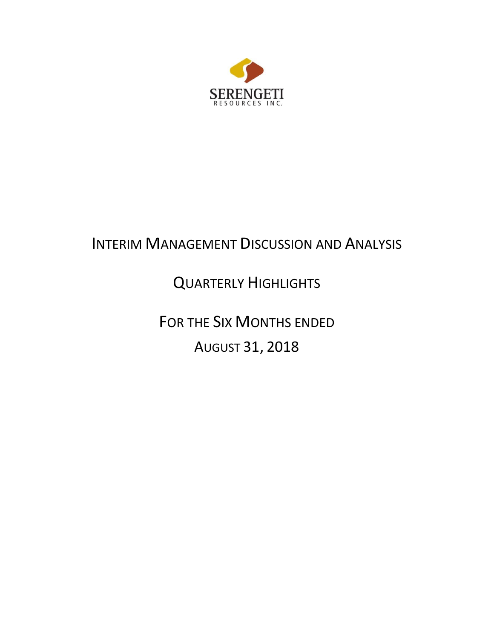

# INTERIM MANAGEMENT DISCUSSION AND ANALYSIS

# QUARTERLY HIGHLIGHTS

FOR THE SIX MONTHS ENDED AUGUST 31, 2018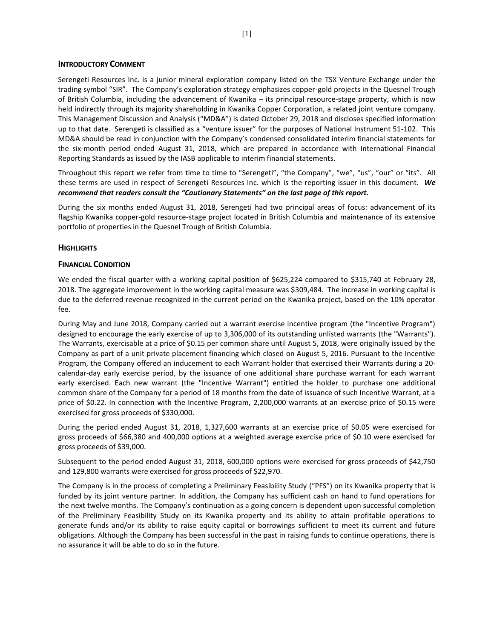### **INTRODUCTORY COMMENT**

Serengeti Resources Inc. is a junior mineral exploration company listed on the TSX Venture Exchange under the trading symbol "SIR". The Company's exploration strategy emphasizes copper-gold projects in the Quesnel Trough of British Columbia, including the advancement of Kwanika – its principal resource-stage property, which is now held indirectly through its majority shareholding in Kwanika Copper Corporation, a related joint venture company. This Management Discussion and Analysis ("MD&A") is dated October 29, 2018 and discloses specified information up to that date. Serengeti is classified as a "venture issuer" for the purposes of National Instrument 51-102. This MD&A should be read in conjunction with the Company's condensed consolidated interim financial statements for the six-month period ended August 31, 2018, which are prepared in accordance with International Financial Reporting Standards as issued by the IASB applicable to interim financial statements.

Throughout this report we refer from time to time to "Serengeti", "the Company", "we", "us", "our" or "its". All these terms are used in respect of Serengeti Resources Inc. which is the reporting issuer in this document. *We recommend that readers consult the "Cautionary Statements" on the last page of this report.*

During the six months ended August 31, 2018, Serengeti had two principal areas of focus: advancement of its flagship Kwanika copper-gold resource-stage project located in British Columbia and maintenance of its extensive portfolio of properties in the Quesnel Trough of British Columbia.

# **HIGHLIGHTS**

# **FINANCIAL CONDITION**

We ended the fiscal quarter with a working capital position of \$625,224 compared to \$315,740 at February 28, 2018. The aggregate improvement in the working capital measure was \$309,484. The increase in working capital is due to the deferred revenue recognized in the current period on the Kwanika project, based on the 10% operator fee.

During May and June 2018, Company carried out a warrant exercise incentive program (the "Incentive Program") designed to encourage the early exercise of up to 3,306,000 of its outstanding unlisted warrants (the "Warrants"). The Warrants, exercisable at a price of \$0.15 per common share until August 5, 2018, were originally issued by the Company as part of a unit private placement financing which closed on August 5, 2016. Pursuant to the Incentive Program, the Company offered an inducement to each Warrant holder that exercised their Warrants during a 20 calendar-day early exercise period, by the issuance of one additional share purchase warrant for each warrant early exercised. Each new warrant (the "Incentive Warrant") entitled the holder to purchase one additional common share of the Company for a period of 18 months from the date of issuance of such Incentive Warrant, at a price of \$0.22. In connection with the Incentive Program, 2,200,000 warrants at an exercise price of \$0.15 were exercised for gross proceeds of \$330,000.

During the period ended August 31, 2018, 1,327,600 warrants at an exercise price of \$0.05 were exercised for gross proceeds of \$66,380 and 400,000 options at a weighted average exercise price of \$0.10 were exercised for gross proceeds of \$39,000.

Subsequent to the period ended August 31, 2018, 600,000 options were exercised for gross proceeds of \$42,750 and 129,800 warrants were exercised for gross proceeds of \$22,970.

The Company is in the process of completing a Preliminary Feasibility Study ("PFS") on its Kwanika property that is funded by its joint venture partner. In addition, the Company has sufficient cash on hand to fund operations for the next twelve months. The Company's continuation as a going concern is dependent upon successful completion of the Preliminary Feasibility Study on its Kwanika property and its ability to attain profitable operations to generate funds and/or its ability to raise equity capital or borrowings sufficient to meet its current and future obligations. Although the Company has been successful in the past in raising funds to continue operations, there is no assurance it will be able to do so in the future.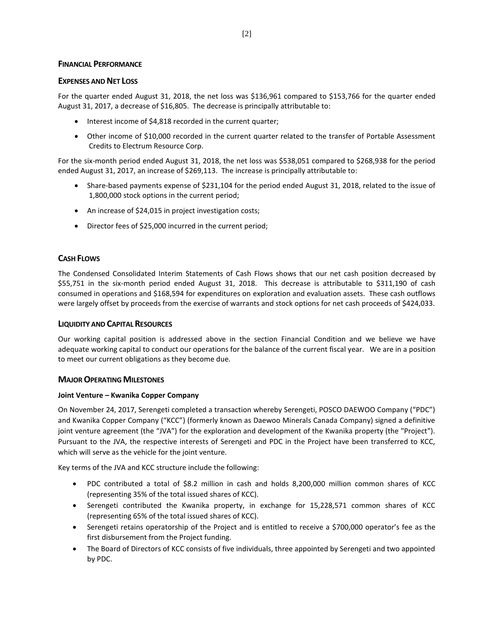# **FINANCIAL PERFORMANCE**

# **EXPENSES AND NET LOSS**

For the quarter ended August 31, 2018, the net loss was \$136,961 compared to \$153,766 for the quarter ended August 31, 2017, a decrease of \$16,805. The decrease is principally attributable to:

- Interest income of \$4,818 recorded in the current quarter;
- Other income of \$10,000 recorded in the current quarter related to the transfer of Portable Assessment Credits to Electrum Resource Corp.

For the six-month period ended August 31, 2018, the net loss was \$538,051 compared to \$268,938 for the period ended August 31, 2017, an increase of \$269,113. The increase is principally attributable to:

- Share-based payments expense of \$231,104 for the period ended August 31, 2018, related to the issue of 1,800,000 stock options in the current period;
- An increase of \$24,015 in project investigation costs;
- Director fees of \$25,000 incurred in the current period;

# **CASH FLOWS**

The Condensed Consolidated Interim Statements of Cash Flows shows that our net cash position decreased by \$55,751 in the six-month period ended August 31, 2018. This decrease is attributable to \$311,190 of cash consumed in operations and \$168,594 for expenditures on exploration and evaluation assets. These cash outflows were largely offset by proceeds from the exercise of warrants and stock options for net cash proceeds of \$424,033.

### **LIQUIDITY AND CAPITAL RESOURCES**

Our working capital position is addressed above in the section Financial Condition and we believe we have adequate working capital to conduct our operations for the balance of the current fiscal year. We are in a position to meet our current obligations as they become due.

### **MAJOR OPERATING MILESTONES**

### **Joint Venture – Kwanika Copper Company**

On November 24, 2017, Serengeti completed a transaction whereby Serengeti, POSCO DAEWOO Company ("PDC") and Kwanika Copper Company ("KCC") (formerly known as Daewoo Minerals Canada Company) signed a definitive joint venture agreement (the "JVA") for the exploration and development of the Kwanika property (the "Project"). Pursuant to the JVA, the respective interests of Serengeti and PDC in the Project have been transferred to KCC, which will serve as the vehicle for the joint venture.

Key terms of the JVA and KCC structure include the following:

- PDC contributed a total of \$8.2 million in cash and holds 8,200,000 million common shares of KCC (representing 35% of the total issued shares of KCC).
- Serengeti contributed the Kwanika property, in exchange for 15,228,571 common shares of KCC (representing 65% of the total issued shares of KCC).
- Serengeti retains operatorship of the Project and is entitled to receive a \$700,000 operator's fee as the first disbursement from the Project funding.
- The Board of Directors of KCC consists of five individuals, three appointed by Serengeti and two appointed by PDC.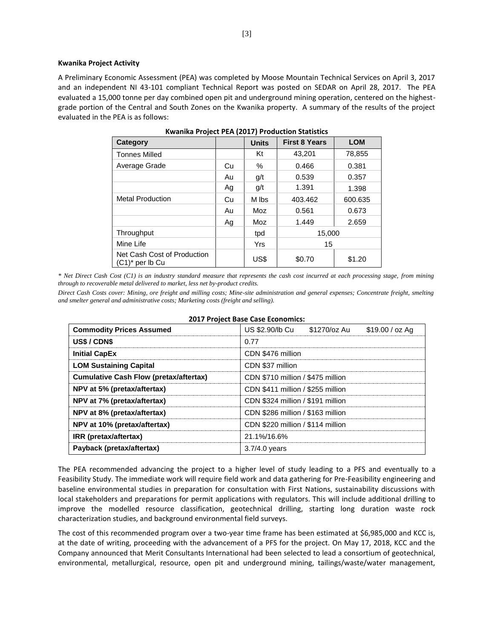#### **Kwanika Project Activity**

A Preliminary Economic Assessment (PEA) was completed by Moose Mountain Technical Services on April 3, 2017 and an independent NI 43-101 compliant Technical Report was posted on SEDAR on April 28, 2017. The PEA evaluated a 15,000 tonne per day combined open pit and underground mining operation, centered on the highestgrade portion of the Central and South Zones on the Kwanika property. A summary of the results of the project evaluated in the PEA is as follows:

| Category                                          |    | <b>Units</b> | <b>First 8 Years</b> | <b>LOM</b> |
|---------------------------------------------------|----|--------------|----------------------|------------|
| <b>Tonnes Milled</b>                              |    | Κt           | 43.201               | 78,855     |
| Average Grade                                     | Cu | %            | 0.466                | 0.381      |
|                                                   | Au | g/t          | 0.539                | 0.357      |
|                                                   | Ag | g/t          | 1.391                | 1.398      |
| <b>Metal Production</b>                           | Cu | M lbs        | 403.462              | 600.635    |
|                                                   | Au | Moz          | 0.561                | 0.673      |
|                                                   | Ag | Moz          | 1.449                | 2.659      |
| Throughput                                        |    | tpd          | 15,000               |            |
| Mine Life                                         |    | Yrs          | 15                   |            |
| Net Cash Cost of Production<br>$(C1)^*$ per lb Cu |    | US\$         | \$0.70               | \$1.20     |

*\* Net Direct Cash Cost (C1) is an industry standard measure that represents the cash cost incurred at each processing stage, from mining through to recoverable metal delivered to market, less net by-product credits.* 

*Direct Cash Costs cover: Mining, ore freight and milling costs; Mine-site administration and general expenses; Concentrate freight, smelting and smelter general and administrative costs; Marketing costs (freight and selling).*

| <b>Commodity Prices Assumed</b>               | US \$2.90/lb Cu<br>\$1270/oz Au<br>$$19.00 / oz$ Ag |  |  |  |  |  |
|-----------------------------------------------|-----------------------------------------------------|--|--|--|--|--|
| US\$/CDN\$                                    | 0.77                                                |  |  |  |  |  |
| <b>Initial CapEx</b>                          | CDN \$476 million                                   |  |  |  |  |  |
| <b>LOM Sustaining Capital</b>                 | CDN \$37 million                                    |  |  |  |  |  |
| <b>Cumulative Cash Flow (pretax/aftertax)</b> | CDN \$710 million / \$475 million                   |  |  |  |  |  |
| NPV at 5% (pretax/aftertax)                   | CDN \$411 million / \$255 million                   |  |  |  |  |  |
| NPV at 7% (pretax/aftertax)                   | CDN \$324 million / \$191 million                   |  |  |  |  |  |
| NPV at 8% (pretax/aftertax)                   | CDN \$286 million / \$163 million                   |  |  |  |  |  |
| NPV at 10% (pretax/aftertax)                  | CDN \$220 million / \$114 million                   |  |  |  |  |  |
| IRR (pretax/aftertax)                         | 21.1%/16.6%                                         |  |  |  |  |  |
| Payback (pretax/aftertax)                     | $3.7/4.0$ years                                     |  |  |  |  |  |

#### **2017 Project Base Case Economics:**

The PEA recommended advancing the project to a higher level of study leading to a PFS and eventually to a Feasibility Study. The immediate work will require field work and data gathering for Pre-Feasibility engineering and baseline environmental studies in preparation for consultation with First Nations, sustainability discussions with local stakeholders and preparations for permit applications with regulators. This will include additional drilling to improve the modelled resource classification, geotechnical drilling, starting long duration waste rock characterization studies, and background environmental field surveys.

The cost of this recommended program over a two-year time frame has been estimated at \$6,985,000 and KCC is, at the date of writing, proceeding with the advancement of a PFS for the project. On May 17, 2018, KCC and the Company announced that Merit Consultants International had been selected to lead a consortium of geotechnical, environmental, metallurgical, resource, open pit and underground mining, tailings/waste/water management,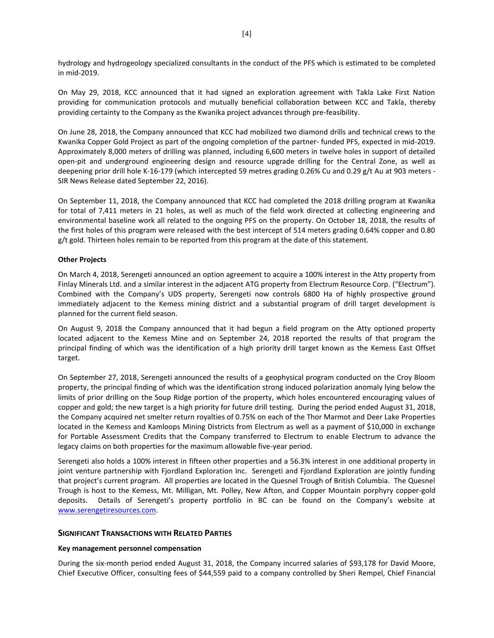hydrology and hydrogeology specialized consultants in the conduct of the PFS which is estimated to be completed in mid-2019.

On May 29, 2018, KCC announced that it had signed an exploration agreement with Takla Lake First Nation providing for communication protocols and mutually beneficial collaboration between KCC and Takla, thereby providing certainty to the Company as the Kwanika project advances through pre-feasibility.

On June 28, 2018, the Company announced that KCC had mobilized two diamond drills and technical crews to the Kwanika Copper Gold Project as part of the ongoing completion of the partner- funded PFS, expected in mid-2019. Approximately 8,000 meters of drilling was planned, including 6,600 meters in twelve holes in support of detailed open-pit and underground engineering design and resource upgrade drilling for the Central Zone, as well as deepening prior drill hole K-16-179 (which intercepted 59 metres grading 0.26% Cu and 0.29 g/t Au at 903 meters - SIR News Release dated September 22, 2016).

On September 11, 2018, the Company announced that KCC had completed the 2018 drilling program at Kwanika for total of 7,411 meters in 21 holes, as well as much of the field work directed at collecting engineering and environmental baseline work all related to the ongoing PFS on the property. On October 18, 2018, the results of the first holes of this program were released with the best intercept of 514 meters grading 0.64% copper and 0.80 g/t gold. Thirteen holes remain to be reported from this program at the date of this statement.

# **Other Projects**

On March 4, 2018, Serengeti announced an option agreement to acquire a 100% interest in the Atty property from Finlay Minerals Ltd. and a similar interest in the adjacent ATG property from Electrum Resource Corp. ("Electrum"). Combined with the Company's UDS property, Serengeti now controls 6800 Ha of highly prospective ground immediately adjacent to the Kemess mining district and a substantial program of drill target development is planned for the current field season.

On August 9, 2018 the Company announced that it had begun a field program on the Atty optioned property located adjacent to the Kemess Mine and on September 24, 2018 reported the results of that program the principal finding of which was the identification of a high priority drill target known as the Kemess East Offset target.

On September 27, 2018, Serengeti announced the results of a geophysical program conducted on the Croy Bloom property, the principal finding of which was the identification strong induced polarization anomaly lying below the limits of prior drilling on the Soup Ridge portion of the property, which holes encountered encouraging values of copper and gold; the new target is a high priority for future drill testing. During the period ended August 31, 2018, the Company acquired net smelter return royalties of 0.75% on each of the Thor Marmot and Deer Lake Properties located in the Kemess and Kamloops Mining Districts from Electrum as well as a payment of \$10,000 in exchange for Portable Assessment Credits that the Company transferred to Electrum to enable Electrum to advance the legacy claims on both properties for the maximum allowable five-year period.

Serengeti also holds a 100% interest in fifteen other properties and a 56.3% interest in one additional property in joint venture partnership with Fjordland Exploration Inc. Serengeti and Fjordland Exploration are jointly funding that project's current program. All properties are located in the Quesnel Trough of British Columbia. The Quesnel Trough is host to the Kemess, Mt. Milligan, Mt. Polley, New Afton, and Copper Mountain porphyry copper-gold deposits. Details of Serengeti's property portfolio in BC can be found on the Company's website at [www.serengetiresources.com.](http://www.serengetiresources.com/) 

### **SIGNIFICANT TRANSACTIONS WITH RELATED PARTIES**

### **Key management personnel compensation**

During the six-month period ended August 31, 2018, the Company incurred salaries of \$93,178 for David Moore, Chief Executive Officer, consulting fees of \$44,559 paid to a company controlled by Sheri Rempel, Chief Financial